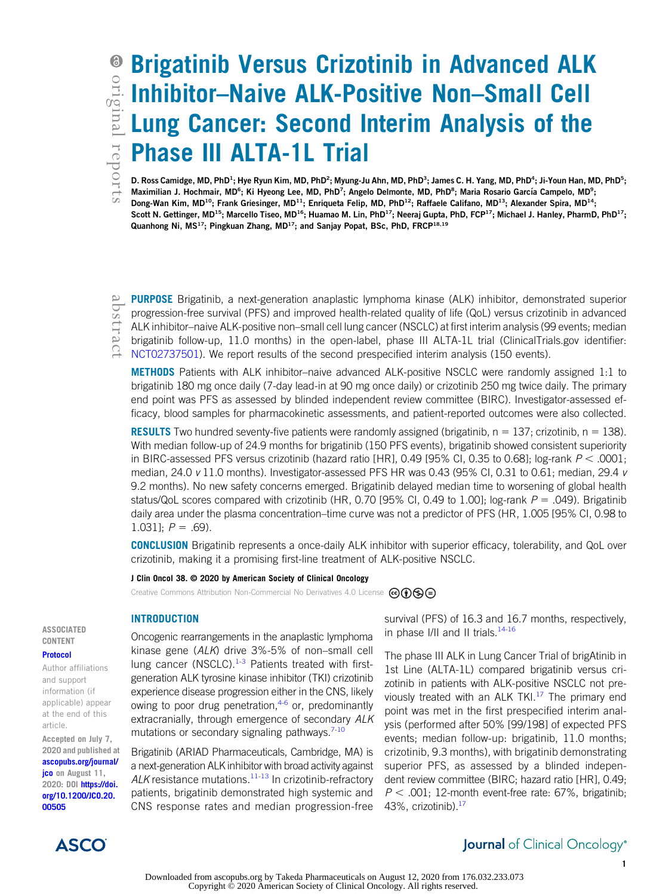# Brigatinib Versus Crizotinib in Advanced ALK Inhibitor–Naive ALK-Positive Non–Small Cell Lung Cancer: Second Interim Analysis of the Phase III ALTA-1L Trial

D. Ross Camidge, MD, PhD<sup>1</sup>; Hye Ryun Kim, MD, PhD<sup>2</sup>; Myung-Ju Ahn, MD, PhD<sup>3</sup>; James C. H. Yang, MD, PhD<sup>4</sup> ; Ji-Youn Han, MD, PhD<sup>5</sup>; Maximilian J. Hochmair, MD<sup>6</sup>; Ki Hyeong Lee, MD, PhD<sup>7</sup>; Angelo Delmonte, MD, PhD<sup>8</sup>; Maria Rosario García Campelo, MD<sup>9</sup> Maximilian J. Hochmair, MD<sup>6</sup>; Ki Hyeong Lee, MD, PhD<sup>7</sup>; Angelo Delmonte, MD, PhD<sup>8</sup>; Maria Rosario García Campelo, MD<sup>9</sup>; Dong-Wan Kim, MD<sup>10</sup>; Frank Griesinger, MD<sup>11</sup>; Enriqueta Felip, MD, PhD<sup>12</sup>; Raffaele Califano, MD<sup>13</sup>; Alexander Spira, MD<sup>14</sup>; Scott N. Gettinger, MD<sup>15</sup>; Marcello Tiseo, MD<sup>16</sup>; Huamao M. Lin, PhD<sup>17</sup>; Neeraj Gupta, PhD, FCP<sup>17</sup>; Michael J. Hanley, PharmD, PhD<sup>17</sup>; Quanhong Ni, MS<sup>17</sup>; Pingkuan Zhang, MD<sup>17</sup>; and Sanjay Popat, BSc, PhD, FRCP<sup>18,19</sup>

PURPOSE Brigatinib, a next-generation anaplastic lymphoma kinase (ALK) inhibitor, demonstrated superior progression-free survival (PFS) and improved health-related quality of life (QoL) versus crizotinib in advanced ALK inhibitor–naive ALK-positive non–small cell lung cancer (NSCLC) at first interim analysis (99 events; median brigatinib follow-up, 11.0 months) in the open-label, phase III ALTA-1L trial (ClinicalTrials.gov identifier: [NCT02737501](https://clinicaltrials.gov/ct2/show/NCT02737501)). We report results of the second prespecified interim analysis (150 events).

METHODS Patients with ALK inhibitor–naive advanced ALK-positive NSCLC were randomly assigned 1:1 to brigatinib 180 mg once daily (7-day lead-in at 90 mg once daily) or crizotinib 250 mg twice daily. The primary end point was PFS as assessed by blinded independent review committee (BIRC). Investigator-assessed efficacy, blood samples for pharmacokinetic assessments, and patient-reported outcomes were also collected.

**RESULTS** Two hundred seventy-five patients were randomly assigned (brigatinib,  $n = 137$ ; crizotinib,  $n = 138$ ). With median follow-up of 24.9 months for brigatinib (150 PFS events), brigatinib showed consistent superiority in BIRC-assessed PFS versus crizotinib (hazard ratio [HR], 0.49 [95% CI, 0.35 to 0.68]; log-rank  $P < .0001$ ; median, 24.0 v 11.0 months). Investigator-assessed PFS HR was 0.43 (95% CI, 0.31 to 0.61; median, 29.4 v 9.2 months). No new safety concerns emerged. Brigatinib delayed median time to worsening of global health status/QoL scores compared with crizotinib (HR, 0.70 [95% CI, 0.49 to 1.00]; log-rank  $P = .049$ ). Brigatinib daily area under the plasma concentration–time curve was not a predictor of PFS (HR, 1.005 [95% CI, 0.98 to 1.031];  $P = .69$ ).

CONCLUSION Brigatinib represents a once-daily ALK inhibitor with superior efficacy, tolerability, and QoL over crizotinib, making it a promising first-line treatment of ALK-positive NSCLC.

### J Clin Oncol 38. © 2020 by American Society of Clinical Oncology

Creative Commons Attribution Non-Commercial No Derivatives 4.0 License  $\circledcirc \bullet \circledcirc$ 

# INTRODUCTION

Oncogenic rearrangements in the anaplastic lymphoma kinase gene (ALK) drive 3%-5% of non–small cell lung cancer (NSCLC). $1-3$  $1-3$  Patients treated with firstgeneration ALK tyrosine kinase inhibitor (TKI) crizotinib experience disease progression either in the CNS, likely owing to poor drug penetration, $4-6$  $4-6$  or, predominantly extracranially, through emergence of secondary ALK mutations or secondary signaling pathways. $7-10$  $7-10$ 

Brigatinib (ARIAD Pharmaceuticals, Cambridge, MA) is a next-generation ALK inhibitor with broad activity against ALK resistance mutations.<sup>[11-](#page-11-6)[13](#page-11-7)</sup> In crizotinib-refractory patients, brigatinib demonstrated high systemic and CNS response rates and median progression-free survival (PFS) of 16.3 and 16.7 months, respectively, in phase I/II and II trials.<sup>[14](#page-11-8)[-16](#page-11-9)</sup>

The phase III ALK in Lung Cancer Trial of brigAtinib in 1st Line (ALTA-1L) compared brigatinib versus crizotinib in patients with ALK-positive NSCLC not previously treated with an ALK TKI. $17$  The primary end point was met in the first prespecified interim analysis (performed after 50% [99/198] of expected PFS events; median follow-up: brigatinib, 11.0 months; crizotinib, 9.3 months), with brigatinib demonstrating superior PFS, as assessed by a blinded independent review committee (BIRC; hazard ratio [HR], 0.49;  $P < .001$ ; 12-month event-free rate: 67%, brigatinib; 43%, crizotinib).[17](#page-11-10)

#### ASSOCIATED CONTENT [Protocol](https://ascopubs.org/doi/suppl/10.1200/JCO.20.00505)

Author affiliations and support information (if applicable) appear at the end of this article.

Accepted on July 7, 2020 and published at [ascopubs.org/journal/](http://ascopubs.org/journal/jco) [jco](http://ascopubs.org/journal/jco) on August 11, 2020: DOI [https://doi.](http://ascopubs.org/doi/full/10.1200/JCO.20.00505) [org/10.1200/JCO.20.](http://ascopubs.org/doi/full/10.1200/JCO.20.00505) [00505](http://ascopubs.org/doi/full/10.1200/JCO.20.00505)



# **Journal** of Clinical Oncology®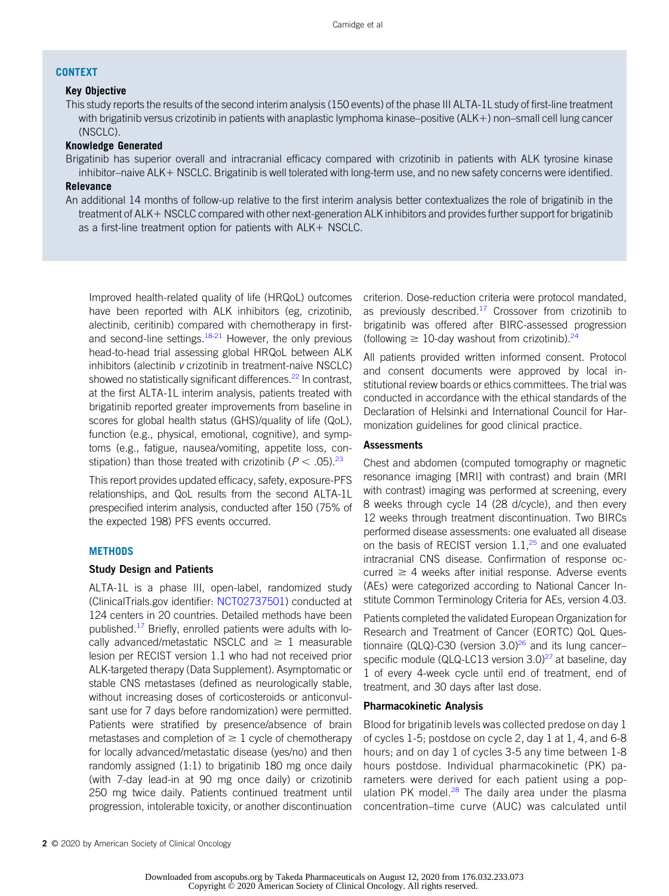# CONTEXT

# Key Objective

This study reports the results of the second interim analysis (150 events) of the phase III ALTA-1L study of first-line treatment with brigatinib versus crizotinib in patients with anaplastic lymphoma kinase–positive (ALK+) non–small cell lung cancer (NSCLC).

#### Knowledge Generated

Brigatinib has superior overall and intracranial efficacy compared with crizotinib in patients with ALK tyrosine kinase inhibitor–naive ALK+ NSCLC. Brigatinib is well tolerated with long-term use, and no new safety concerns were identified.

# Relevance

An additional 14 months of follow-up relative to the first interim analysis better contextualizes the role of brigatinib in the treatment of ALK+ NSCLC compared with other next-generation ALK inhibitors and provides further support for brigatinib as a first-line treatment option for patients with ALK+ NSCLC.

Improved health-related quality of life (HRQoL) outcomes have been reported with ALK inhibitors (eg, crizotinib, alectinib, ceritinib) compared with chemotherapy in firstand second-line settings. $18-21$  $18-21$  However, the only previous head-to-head trial assessing global HRQoL between ALK inhibitors (alectinib v crizotinib in treatment-naive NSCLC) showed no statistically significant differences.<sup>[22](#page-11-13)</sup> In contrast, at the first ALTA-1L interim analysis, patients treated with brigatinib reported greater improvements from baseline in scores for global health status (GHS)/quality of life (QoL), function (e.g., physical, emotional, cognitive), and symptoms (e.g., fatigue, nausea/vomiting, appetite loss, constipation) than those treated with crizotinib ( $P < .05$ ).<sup>[23](#page-11-14)</sup>

This report provides updated efficacy, safety, exposure-PFS relationships, and QoL results from the second ALTA-1L prespecified interim analysis, conducted after 150 (75% of the expected 198) PFS events occurred.

#### **METHODS**

### Study Design and Patients

ALTA-1L is a phase III, open-label, randomized study (ClinicalTrials.gov identifier: [NCT02737501](https://clinicaltrials.gov/ct2/show/NCT02737501)) conducted at 124 centers in 20 countries. Detailed methods have been published.<sup>[17](#page-11-10)</sup> Briefly, enrolled patients were adults with locally advanced/metastatic NSCLC and  $\geq 1$  measurable lesion per RECIST version 1.1 who had not received prior ALK-targeted therapy (Data Supplement). Asymptomatic or stable CNS metastases (defined as neurologically stable, without increasing doses of corticosteroids or anticonvulsant use for 7 days before randomization) were permitted. Patients were stratified by presence/absence of brain metastases and completion of  $\geq 1$  cycle of chemotherapy for locally advanced/metastatic disease (yes/no) and then randomly assigned (1:1) to brigatinib 180 mg once daily (with 7-day lead-in at 90 mg once daily) or crizotinib 250 mg twice daily. Patients continued treatment until progression, intolerable toxicity, or another discontinuation

criterion. Dose-reduction criteria were protocol mandated, as previously described. $17$  Crossover from crizotinib to brigatinib was offered after BIRC-assessed progression (following  $\geq 10$ -day washout from crizotinib).<sup>[24](#page-11-15)</sup>

All patients provided written informed consent. Protocol and consent documents were approved by local institutional review boards or ethics committees. The trial was conducted in accordance with the ethical standards of the Declaration of Helsinki and International Council for Harmonization guidelines for good clinical practice.

# Assessments

Chest and abdomen (computed tomography or magnetic resonance imaging [MRI] with contrast) and brain (MRI with contrast) imaging was performed at screening, every 8 weeks through cycle 14 (28 d/cycle), and then every 12 weeks through treatment discontinuation. Two BIRCs performed disease assessments: one evaluated all disease on the basis of RECIST version  $1.1<sup>25</sup>$  $1.1<sup>25</sup>$  $1.1<sup>25</sup>$  and one evaluated intracranial CNS disease. Confirmation of response occurred  $\geq 4$  weeks after initial response. Adverse events (AEs) were categorized according to National Cancer Institute Common Terminology Criteria for AEs, version 4.03.

Patients completed the validated European Organization for Research and Treatment of Cancer (EORTC) QoL Questionnaire (QLQ)-C30 (version  $3.0$ <sup>26</sup> and its lung cancer– specific module (QLQ-LC13 version  $3.0)^{27}$  $3.0)^{27}$  $3.0)^{27}$  at baseline, day 1 of every 4-week cycle until end of treatment, end of treatment, and 30 days after last dose.

# Pharmacokinetic Analysis

Blood for brigatinib levels was collected predose on day 1 of cycles 1-5; postdose on cycle 2, day 1 at 1, 4, and 6-8 hours; and on day 1 of cycles 3-5 any time between 1-8 hours postdose. Individual pharmacokinetic (PK) parameters were derived for each patient using a population PK model. $^{28}$  $^{28}$  $^{28}$  The daily area under the plasma concentration–time curve (AUC) was calculated until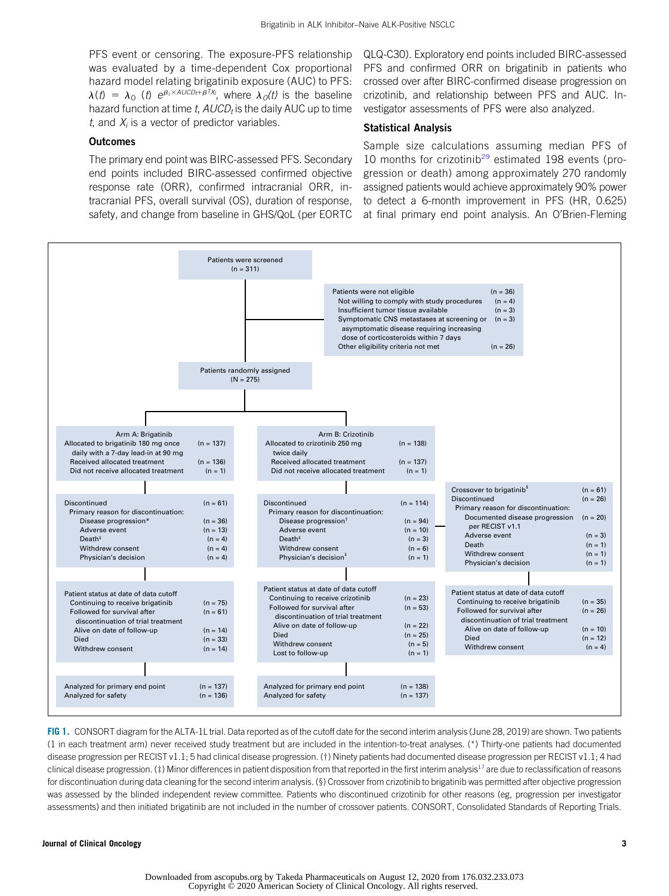PFS event or censoring. The exposure-PFS relationship was evaluated by a time-dependent Cox proportional hazard model relating brigatinib exposure (AUC) to PFS:  $\lambda(t) = \lambda_0$  (t)  $e^{\beta_1 \times AUCDt + \beta^T X_i}$ , where  $\lambda_0(t)$  is the baseline hazard function at time  $t$ ,  $AUCD_t$  is the daily AUC up to time t, and  $X_i$  is a vector of predictor variables.

# **Outcomes**

The primary end point was BIRC-assessed PFS. Secondary end points included BIRC-assessed confirmed objective response rate (ORR), confirmed intracranial ORR, intracranial PFS, overall survival (OS), duration of response, safety, and change from baseline in GHS/QoL (per EORTC QLQ-C30). Exploratory end points included BIRC-assessed PFS and confirmed ORR on brigatinib in patients who crossed over after BIRC-confirmed disease progression on crizotinib, and relationship between PFS and AUC. Investigator assessments of PFS were also analyzed.

# Statistical Analysis

Sample size calculations assuming median PFS of 10 months for crizotinib<sup>[29](#page-11-20)</sup> estimated 198 events (progression or death) among approximately 270 randomly assigned patients would achieve approximately 90% power to detect a 6-month improvement in PFS (HR, 0.625) at final primary end point analysis. An O'Brien-Fleming



<span id="page-2-0"></span>FIG 1. CONSORT diagram for the ALTA-1L trial. Data reported as of the cutoff date for the second interim analysis (June 28, 2019) are shown. Two patients (1 in each treatment arm) never received study treatment but are included in the intention-to-treat analyses. (\*) Thirty-one patients had documented disease progression per RECIST v1.1; 5 had clinical disease progression. (†) Ninety patients had documented disease progression per RECIST v1.1; 4 had clinical disease progression. (‡) Minor differences in patient disposition from that reported in the first interim analysis<sup>17</sup> are due to reclassification of reasons for discontinuation during data cleaning for the second interim analysis. (§) Crossover from crizotinib to brigatinib was permitted after objective progression was assessed by the blinded independent review committee. Patients who discontinued crizotinib for other reasons (eg, progression per investigator assessments) and then initiated brigatinib are not included in the number of crossover patients. CONSORT, Consolidated Standards of Reporting Trials.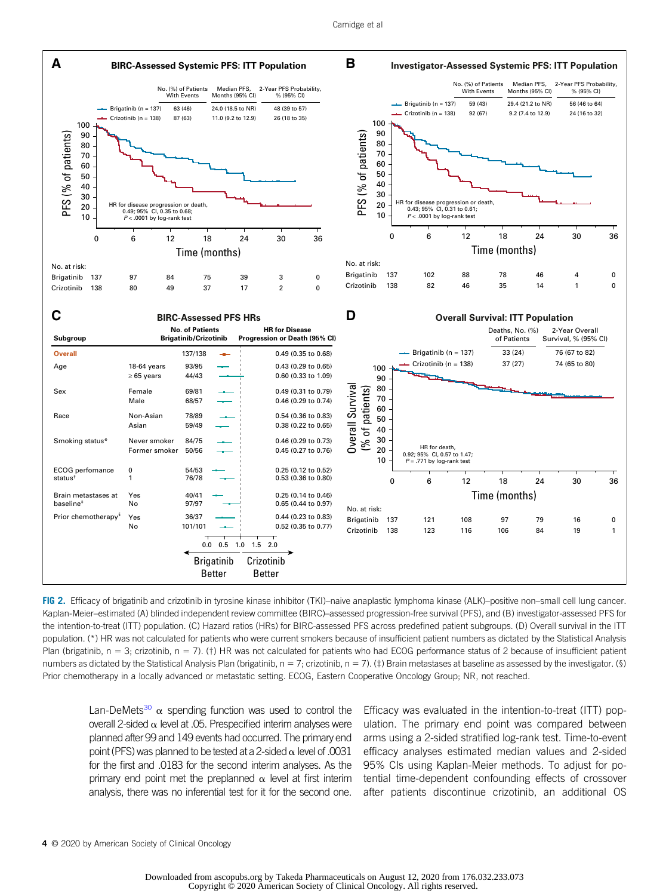

<span id="page-3-0"></span>FIG 2. Efficacy of brigatinib and crizotinib in tyrosine kinase inhibitor (TKI)–naive anaplastic lymphoma kinase (ALK)–positive non–small cell lung cancer. Kaplan-Meier–estimated (A) blinded independent review committee (BIRC)–assessed progression-free survival (PFS), and (B) investigator-assessed PFS for the intention-to-treat (ITT) population. (C) Hazard ratios (HRs) for BIRC-assessed PFS across predefined patient subgroups. (D) Overall survival in the ITT population. (\*) HR was not calculated for patients who were current smokers because of insufficient patient numbers as dictated by the Statistical Analysis Plan (brigatinib,  $n = 3$ ; crizotinib,  $n = 7$ ). (†) HR was not calculated for patients who had ECOG performance status of 2 because of insufficient patient numbers as dictated by the Statistical Analysis Plan (brigatinib,  $n = 7$ ; crizotinib,  $n = 7$ ). (‡) Brain metastases at baseline as assessed by the investigator. (§) Prior chemotherapy in a locally advanced or metastatic setting. ECOG, Eastern Cooperative Oncology Group; NR, not reached.

Lan-DeMets<sup>[30](#page-11-21)</sup>  $\alpha$  spending function was used to control the overall 2-sided  $\alpha$  level at .05. Prespecified interim analyses were planned after 99 and 149 events had occurred. The primary end point (PFS) was planned to be tested at a 2-sided  $\alpha$  level of .0031 for the first and .0183 for the second interim analyses. As the primary end point met the preplanned  $\alpha$  level at first interim analysis, there was no inferential test for it for the second one.

Efficacy was evaluated in the intention-to-treat (ITT) population. The primary end point was compared between arms using a 2-sided stratified log-rank test. Time-to-event efficacy analyses estimated median values and 2-sided 95% CIs using Kaplan-Meier methods. To adjust for potential time-dependent confounding effects of crossover after patients discontinue crizotinib, an additional OS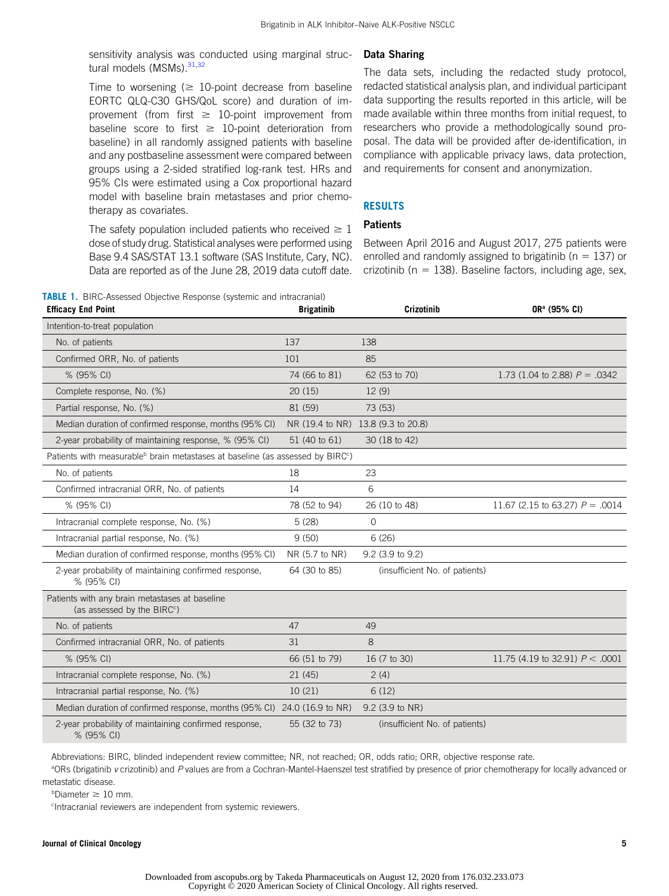sensitivity analysis was conducted using marginal struc-tural models (MSMs).<sup>31,[32](#page-11-23)</sup>

Time to worsening ( $\geq 10$ -point decrease from baseline EORTC QLQ-C30 GHS/QoL score) and duration of improvement (from first  $\geq 10$ -point improvement from baseline score to first  $\geq 10$ -point deterioration from baseline) in all randomly assigned patients with baseline and any postbaseline assessment were compared between groups using a 2-sided stratified log-rank test. HRs and 95% CIs were estimated using a Cox proportional hazard model with baseline brain metastases and prior chemotherapy as covariates.

The safety population included patients who received  $\geq 1$ dose of study drug. Statistical analyses were performed using Base 9.4 SAS/STAT 13.1 software (SAS Institute, Cary, NC). Data are reported as of the June 28, 2019 data cutoff date.

### Data Sharing

The data sets, including the redacted study protocol, redacted statistical analysis plan, and individual participant data supporting the results reported in this article, will be made available within three months from initial request, to researchers who provide a methodologically sound proposal. The data will be provided after de-identification, in compliance with applicable privacy laws, data protection, and requirements for consent and anonymization.

# RESULTS

# **Patients**

Between April 2016 and August 2017, 275 patients were enrolled and randomly assigned to brigatinib ( $n = 137$ ) or crizotinib ( $n = 138$ ). Baseline factors, including age, sex,

<span id="page-4-0"></span>

| <b>TABLE 1.</b> BIRC-Assessed Objective Response (systemic and intracranial) |                   |            |                          |
|------------------------------------------------------------------------------|-------------------|------------|--------------------------|
| <b>Efficacy End Point</b>                                                    | <b>Brigatinib</b> | Crizotinib | OR <sup>a</sup> (95% CI) |

| Intention-to-treat population                                                                          |                |                                    |                                   |  |  |
|--------------------------------------------------------------------------------------------------------|----------------|------------------------------------|-----------------------------------|--|--|
| No. of patients                                                                                        | 137            | 138                                |                                   |  |  |
| Confirmed ORR, No. of patients                                                                         | 101            | 85                                 |                                   |  |  |
| % (95% CI)                                                                                             | 74 (66 to 81)  | 62 (53 to 70)                      | 1.73 (1.04 to 2.88) $P = .0342$   |  |  |
| Complete response, No. (%)                                                                             | 20(15)         | 12(9)                              |                                   |  |  |
| Partial response, No. (%)                                                                              | 81 (59)        | 73 (53)                            |                                   |  |  |
| Median duration of confirmed response, months (95% CI)                                                 |                | NR (19.4 to NR) 13.8 (9.3 to 20.8) |                                   |  |  |
| 2-year probability of maintaining response, % (95% CI)                                                 | 51 (40 to 61)  | 30 (18 to 42)                      |                                   |  |  |
| Patients with measurable <sup>b</sup> brain metastases at baseline (as assessed by BIRC <sup>c</sup> ) |                |                                    |                                   |  |  |
| No. of patients                                                                                        | 18             | 23                                 |                                   |  |  |
| Confirmed intracranial ORR, No. of patients                                                            | 14             | 6                                  |                                   |  |  |
| % (95% CI)                                                                                             | 78 (52 to 94)  | 26 (10 to 48)                      | 11.67 (2.15 to 63.27) $P = .0014$ |  |  |
| Intracranial complete response, No. (%)                                                                | 5(28)          | $\circ$                            |                                   |  |  |
| Intracranial partial response, No. (%)                                                                 | 9(50)          | 6(26)                              |                                   |  |  |
| Median duration of confirmed response, months (95% CI)                                                 | NR (5.7 to NR) | 9.2 (3.9 to 9.2)                   |                                   |  |  |
| 2-year probability of maintaining confirmed response,<br>% (95% CI)                                    | 64 (30 to 85)  | (insufficient No. of patients)     |                                   |  |  |
| Patients with any brain metastases at baseline<br>(as assessed by the BIRC <sup>c</sup> )              |                |                                    |                                   |  |  |
| No. of patients                                                                                        | 47             | 49                                 |                                   |  |  |
| Confirmed intracranial ORR, No. of patients                                                            | 31             | 8                                  |                                   |  |  |
| % (95% CI)                                                                                             | 66 (51 to 79)  | 16 (7 to 30)                       | 11.75 (4.19 to 32.91) $P < .0001$ |  |  |
| Intracranial complete response, No. (%)                                                                | 21 (45)        | 2(4)                               |                                   |  |  |
| Intracranial partial response, No. (%)                                                                 | 10(21)         | 6(12)                              |                                   |  |  |
| Median duration of confirmed response, months (95% CI) 24.0 (16.9 to NR)                               |                | 9.2 (3.9 to NR)                    |                                   |  |  |
| 2-year probability of maintaining confirmed response,<br>% (95% CI)                                    | 55 (32 to 73)  | (insufficient No. of patients)     |                                   |  |  |

Abbreviations: BIRC, blinded independent review committee; NR, not reached; OR, odds ratio; ORR, objective response rate.

<sup>a</sup>ORs (brigatinib v crizotinib) and P values are from a Cochran-Mantel-Haenszel test stratified by presence of prior chemotherapy for locally advanced or metastatic disease.

 $b$ Diameter  $\geq 10$  mm.

c Intracranial reviewers are independent from systemic reviewers.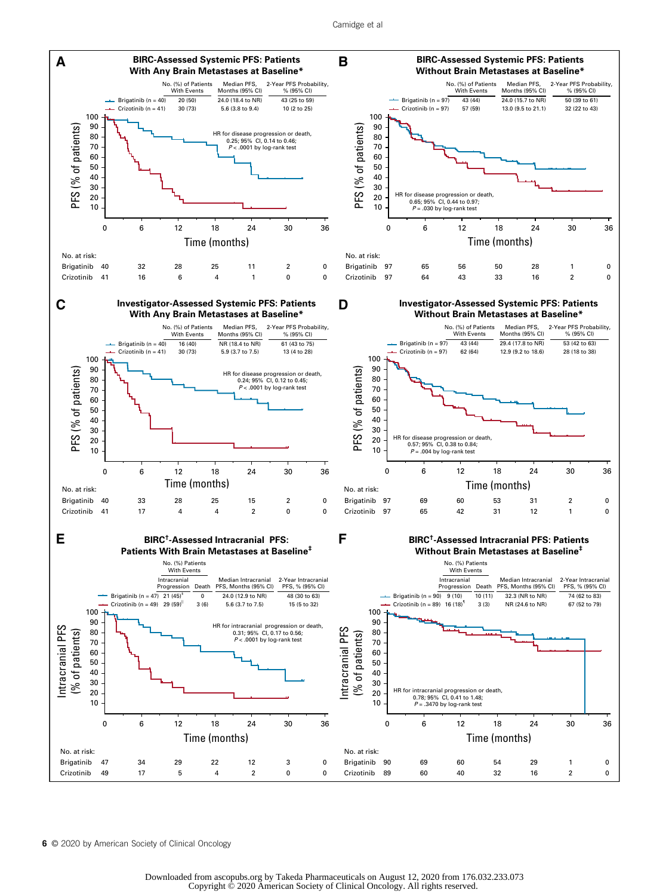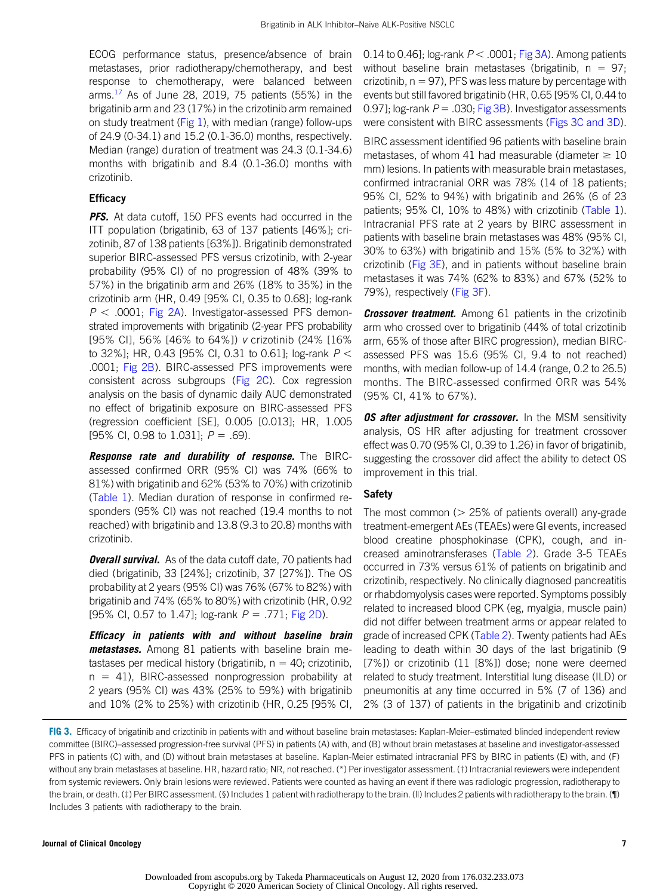ECOG performance status, presence/absence of brain metastases, prior radiotherapy/chemotherapy, and best response to chemotherapy, were balanced between arms. $^{17}$  $^{17}$  $^{17}$  As of June 28, 2019, 75 patients (55%) in the brigatinib arm and 23 (17%) in the crizotinib arm remained on study treatment ( $Fig 1$ ), with median (range) follow-ups of 24.9 (0-34.1) and 15.2 (0.1-36.0) months, respectively. Median (range) duration of treatment was 24.3 (0.1-34.6) months with brigatinib and 8.4 (0.1-36.0) months with crizotinib.

## **Efficacy**

PFS. At data cutoff, 150 PFS events had occurred in the ITT population (brigatinib, 63 of 137 patients [46%]; crizotinib, 87 of 138 patients [63%]). Brigatinib demonstrated superior BIRC-assessed PFS versus crizotinib, with 2-year probability (95% CI) of no progression of 48% (39% to 57%) in the brigatinib arm and 26% (18% to 35%) in the crizotinib arm (HR, 0.49 [95% CI, 0.35 to 0.68]; log-rank  $P < .0001$ ; [Fig 2A\)](#page-3-0). Investigator-assessed PFS demonstrated improvements with brigatinib (2-year PFS probability [95% CI], 56% [46% to 64%]) v crizotinib (24% [16% to 32%]; HR, 0.43 [95% CI, 0.31 to 0.61]; log-rank  $P <$ .0001; [Fig 2B](#page-3-0)). BIRC-assessed PFS improvements were consistent across subgroups [\(Fig 2C](#page-3-0)). Cox regression analysis on the basis of dynamic daily AUC demonstrated no effect of brigatinib exposure on BIRC-assessed PFS (regression coefficient [SE], 0.005 [0.013]; HR, 1.005 [95% CI, 0.98 to 1.031];  $P = .69$ ).

**Response rate and durability of response.** The BIRCassessed confirmed ORR (95% CI) was 74% (66% to 81%) with brigatinib and 62% (53% to 70%) with crizotinib ([Table 1\)](#page-4-0). Median duration of response in confirmed responders (95% CI) was not reached (19.4 months to not reached) with brigatinib and 13.8 (9.3 to 20.8) months with crizotinib.

**Overall survival.** As of the data cutoff date, 70 patients had died (brigatinib, 33 [24%]; crizotinib, 37 [27%]). The OS probability at 2 years (95% CI) was 76% (67% to 82%) with brigatinib and 74% (65% to 80%) with crizotinib (HR, 0.92 [95% CI, 0.57 to 1.47]; log-rank  $P = .771$ ; [Fig 2D\)](#page-3-0).

Efficacy in patients with and without baseline brain metastases. Among 81 patients with baseline brain metastases per medical history (brigatinib,  $n = 40$ ; crizotinib,  $n = 41$ ), BIRC-assessed nonprogression probability at 2 years (95% CI) was 43% (25% to 59%) with brigatinib and 10% (2% to 25%) with crizotinib (HR, 0.25 [95% CI, 0.14 to 0.46]; log-rank  $P < .0001$ ; [Fig 3A\)](#page-6-0). Among patients without baseline brain metastases (brigatinib,  $n = 97$ ; crizotinib,  $n = 97$ ), PFS was less mature by percentage with events but still favored brigatinib (HR, 0.65 [95% CI, 0.44 to 0.97]; log-rank  $P = .030$ ; [Fig 3B](#page-6-0)). Investigator assessments were consistent with BIRC assessments ([Figs 3C and 3D](#page-6-0)).

BIRC assessment identified 96 patients with baseline brain metastases, of whom 41 had measurable (diameter  $\geq 10$ mm) lesions. In patients with measurable brain metastases, confirmed intracranial ORR was 78% (14 of 18 patients; 95% CI, 52% to 94%) with brigatinib and 26% (6 of 23 patients; 95% CI, 10% to 48%) with crizotinib ([Table 1](#page-4-0)). Intracranial PFS rate at 2 years by BIRC assessment in patients with baseline brain metastases was 48% (95% CI, 30% to 63%) with brigatinib and 15% (5% to 32%) with crizotinib [\(Fig 3E](#page-6-0)), and in patients without baseline brain metastases it was 74% (62% to 83%) and 67% (52% to 79%), respectively [\(Fig 3F\)](#page-6-0).

**Crossover treatment.** Among 61 patients in the crizotinib arm who crossed over to brigatinib (44% of total crizotinib arm, 65% of those after BIRC progression), median BIRCassessed PFS was 15.6 (95% CI, 9.4 to not reached) months, with median follow-up of 14.4 (range, 0.2 to 26.5) months. The BIRC-assessed confirmed ORR was 54% (95% CI, 41% to 67%).

OS after adjustment for crossover. In the MSM sensitivity analysis, OS HR after adjusting for treatment crossover effect was 0.70 (95% CI, 0.39 to 1.26) in favor of brigatinib, suggesting the crossover did affect the ability to detect OS improvement in this trial.

# Safety

The most common ( $>$  25% of patients overall) any-grade treatment-emergent AEs (TEAEs) were GI events, increased blood creatine phosphokinase (CPK), cough, and increased aminotransferases ([Table 2\)](#page-7-0). Grade 3-5 TEAEs occurred in 73% versus 61% of patients on brigatinib and crizotinib, respectively. No clinically diagnosed pancreatitis or rhabdomyolysis cases were reported. Symptoms possibly related to increased blood CPK (eg, myalgia, muscle pain) did not differ between treatment arms or appear related to grade of increased CPK ([Table 2](#page-7-0)). Twenty patients had AEs leading to death within 30 days of the last brigatinib (9 [7%]) or crizotinib (11 [8%]) dose; none were deemed related to study treatment. Interstitial lung disease (ILD) or pneumonitis at any time occurred in 5% (7 of 136) and 2% (3 of 137) of patients in the brigatinib and crizotinib

<span id="page-6-0"></span>FIG 3. Efficacy of brigatinib and crizotinib in patients with and without baseline brain metastases: Kaplan-Meier–estimated blinded independent review committee (BIRC)–assessed progression-free survival (PFS) in patients (A) with, and (B) without brain metastases at baseline and investigator-assessed PFS in patients (C) with, and (D) without brain metastases at baseline. Kaplan-Meier estimated intracranial PFS by BIRC in patients (E) with, and (F) without any brain metastases at baseline. HR, hazard ratio; NR, not reached. (\*) Per investigator assessment. (†) Intracranial reviewers were independent from systemic reviewers. Only brain lesions were reviewed. Patients were counted as having an event if there was radiologic progression, radiotherapy to the brain, or death. (‡) Per BIRC assessment. (§) Includes 1 patient with radiotherapy to the brain. (||) Includes 2 patients with radiotherapy to the brain. (¶) Includes 3 patients with radiotherapy to the brain.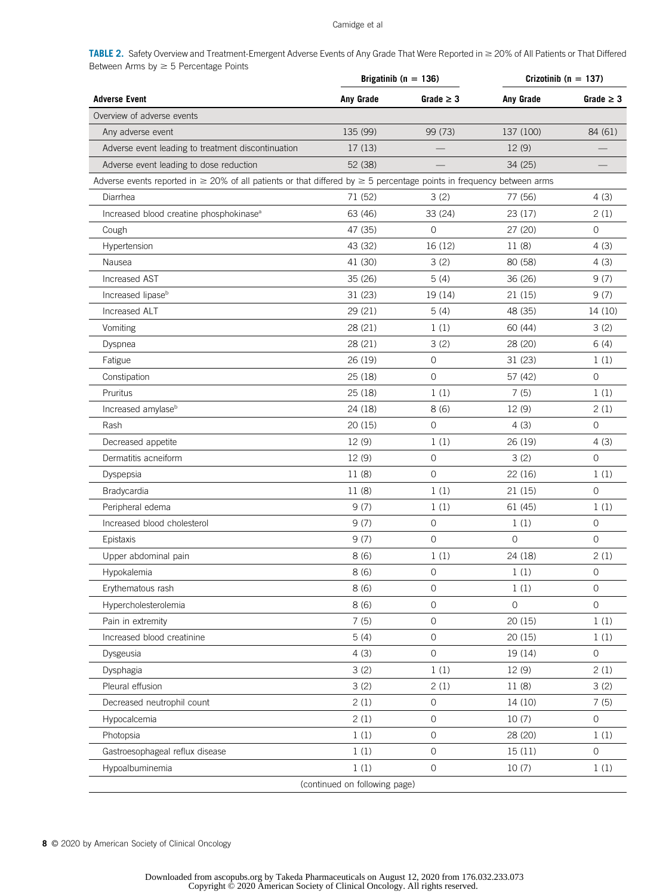# Camidge et al

<span id="page-7-0"></span>TABLE 2. Safety Overview and Treatment-Emergent Adverse Events of Any Grade That Were Reported in  $\geq$  20% of All Patients or That Differed Between Arms by  $\geq 5$  Percentage Points

|                                                                                                                                 | Brigatinib ( $n = 136$ ) |                     | Crizotinib ( $n = 137$ ) |                |
|---------------------------------------------------------------------------------------------------------------------------------|--------------------------|---------------------|--------------------------|----------------|
| <b>Adverse Event</b>                                                                                                            | Any Grade                | Grade $\geq 3$      | <b>Anv Grade</b>         | Grade $\geq 3$ |
| Overview of adverse events                                                                                                      |                          |                     |                          |                |
| Any adverse event                                                                                                               | 135 (99)                 | 99 (73)             | 137 (100)                | 84 (61)        |
| Adverse event leading to treatment discontinuation                                                                              | 17(13)                   |                     | 12(9)                    |                |
| Adverse event leading to dose reduction                                                                                         | 52 (38)                  |                     | 34 (25)                  |                |
| Adverse events reported in $\geq 20\%$ of all patients or that differed by $\geq 5$ percentage points in frequency between arms |                          |                     |                          |                |
| Diarrhea                                                                                                                        | 71 (52)                  | 3(2)                | 77 (56)                  | 4(3)           |
| Increased blood creatine phosphokinase <sup>a</sup>                                                                             | 63 (46)                  | 33 (24)             | 23 (17)                  | 2(1)           |
| Cough                                                                                                                           | 47 (35)                  | $\mathbf 0$         | 27 (20)                  | $\mathbf 0$    |
| Hypertension                                                                                                                    | 43 (32)                  | 16 (12)             | 11(8)                    | 4(3)           |
| Nausea                                                                                                                          | 41 (30)                  | 3(2)                | 80 (58)                  | 4(3)           |
| Increased AST                                                                                                                   | 35 (26)                  | 5(4)                | 36 (26)                  | 9(7)           |
| Increased lipase <sup>b</sup>                                                                                                   | 31(23)                   | 19 (14)             | 21(15)                   | 9(7)           |
| Increased ALT                                                                                                                   | 29 (21)                  | 5(4)                | 48 (35)                  | 14 (10)        |
| Vomiting                                                                                                                        | 28 (21)                  | 1(1)                | 60 (44)                  | 3(2)           |
| Dyspnea                                                                                                                         | 28 (21)                  | 3(2)                | 28 (20)                  | 6(4)           |
| Fatigue                                                                                                                         | 26 (19)                  | 0                   | 31(23)                   | 1(1)           |
| Constipation                                                                                                                    | 25(18)                   | $\circ$             | 57 (42)                  | $\mathbf 0$    |
| Pruritus                                                                                                                        | 25(18)                   | 1(1)                | 7(5)                     | 1(1)           |
| Increased amylase <sup>b</sup>                                                                                                  | 24 (18)                  | 8(6)                | 12 (9)                   | 2(1)           |
| Rash                                                                                                                            | 20(15)                   | $\circ$             | 4(3)                     | $\circ$        |
| Decreased appetite                                                                                                              | 12 (9)                   | 1(1)                | 26 (19)                  | 4(3)           |
| Dermatitis acneiform                                                                                                            | 12 (9)                   | $\circ$             | 3(2)                     | $\circ$        |
| Dyspepsia                                                                                                                       | 11 (8)                   | $\mathsf{O}\xspace$ | 22 (16)                  | 1(1)           |
| Bradycardia                                                                                                                     | 11(8)                    | 1(1)                | 21(15)                   | 0              |
| Peripheral edema                                                                                                                | 9(7)                     | 1(1)                | 61 (45)                  | 1(1)           |
| Increased blood cholesterol                                                                                                     | 9(7)                     | 0                   | 1(1)                     | 0              |
| Epistaxis                                                                                                                       | 9(7)                     | $\mathbf{O}$        | $\Omega$                 | $\circ$        |
| Upper abdominal pain                                                                                                            | 8(6)                     | 1(1)                | 24 (18)                  | 2(1)           |
| Hypokalemia                                                                                                                     | 8(6)                     | $\mathsf{O}\xspace$ | 1(1)                     | 0              |
| Erythematous rash                                                                                                               | 8(6)                     | 0                   | 1(1)                     | 0              |
| Hypercholesterolemia                                                                                                            | 8(6)                     | $\mathsf{O}\xspace$ | 0                        | 0              |
| Pain in extremity                                                                                                               | 7(5)                     | $\mathbf 0$         | 20 (15)                  | 1(1)           |
| Increased blood creatinine                                                                                                      | 5(4)                     | $\mathsf{O}\xspace$ | 20(15)                   | 1(1)           |
| Dysgeusia                                                                                                                       | 4(3)                     | $\mathbf 0$         | 19 (14)                  | 0              |
| Dysphagia                                                                                                                       | 3(2)                     | 1(1)                | 12 (9)                   | 2(1)           |
| Pleural effusion                                                                                                                | 3(2)                     | 2(1)                | 11 (8)                   | 3(2)           |
| Decreased neutrophil count                                                                                                      | 2(1)                     | $\mathsf{O}\xspace$ | 14 (10)                  | 7(5)           |
| Hypocalcemia                                                                                                                    | 2(1)                     | $\mathsf{O}\xspace$ | 10(7)                    | $\mathbf{O}$   |
| Photopsia                                                                                                                       | 1(1)                     | $\mathsf{O}\xspace$ | 28 (20)                  | 1(1)           |
| Gastroesophageal reflux disease                                                                                                 | 1(1)                     | $\mathsf{O}\xspace$ | 15(11)                   | $\mathbf 0$    |
| Hypoalbuminemia                                                                                                                 | 1(1)                     | $\mathbf 0$         | 10(7)                    | 1(1)           |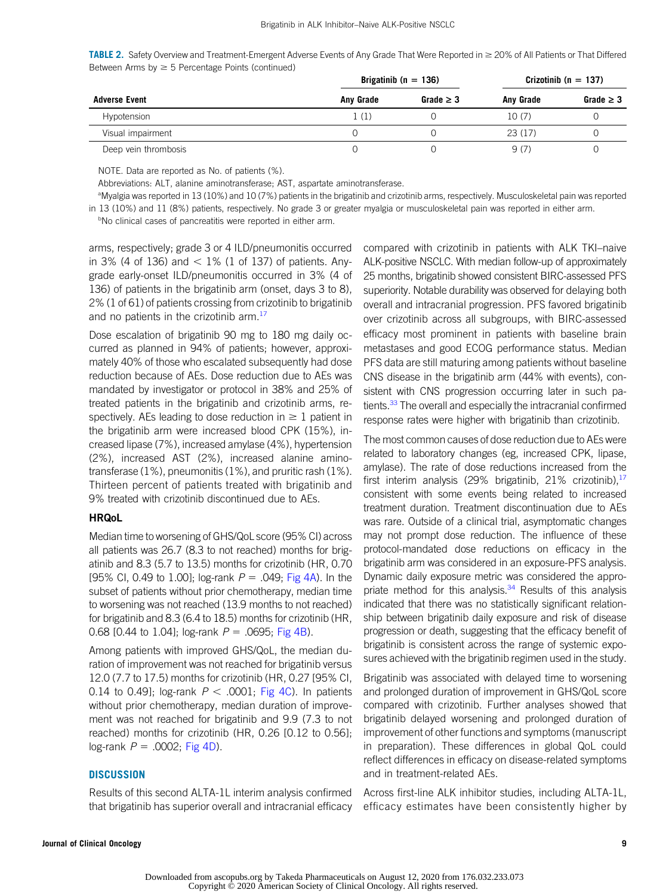**TABLE 2.** Safety Overview and Treatment-Emergent Adverse Events of Any Grade That Were Reported in  $\geq$  20% of All Patients or That Differed Between Arms by  $\geq 5$  Percentage Points (continued)

| <b>Adverse Event</b> |           | Brigatinib ( $n = 136$ ) |           | Crizotinib ( $n = 137$ ) |  |
|----------------------|-----------|--------------------------|-----------|--------------------------|--|
|                      | Any Grade | Grade $\geq$ 3           | Any Grade | Grade $\geq 3$           |  |
| Hypotension          | 1 (1)     |                          | 10(7)     |                          |  |
| Visual impairment    |           |                          | 23(17)    |                          |  |
| Deep vein thrombosis |           |                          | 9(7)      |                          |  |

NOTE. Data are reported as No. of patients (%).

Abbreviations: ALT, alanine aminotransferase; AST, aspartate aminotransferase.

a Myalgia was reported in 13 (10%) and 10 (7%) patients in the brigatinib and crizotinib arms, respectively. Musculoskeletal pain was reported in 13 (10%) and 11 (8%) patients, respectively. No grade 3 or greater myalgia or musculoskeletal pain was reported in either arm.

<sup>b</sup>No clinical cases of pancreatitis were reported in either arm.

arms, respectively; grade 3 or 4 ILD/pneumonitis occurred in 3% (4 of 136) and  $<$  1% (1 of 137) of patients. Anygrade early-onset ILD/pneumonitis occurred in 3% (4 of 136) of patients in the brigatinib arm (onset, days 3 to 8), 2% (1 of 61) of patients crossing from crizotinib to brigatinib and no patients in the crizotinib arm.<sup>[17](#page-11-10)</sup>

Dose escalation of brigatinib 90 mg to 180 mg daily occurred as planned in 94% of patients; however, approximately 40% of those who escalated subsequently had dose reduction because of AEs. Dose reduction due to AEs was mandated by investigator or protocol in 38% and 25% of treated patients in the brigatinib and crizotinib arms, respectively. AEs leading to dose reduction in  $\geq 1$  patient in the brigatinib arm were increased blood CPK (15%), increased lipase (7%), increased amylase (4%), hypertension (2%), increased AST (2%), increased alanine aminotransferase (1%), pneumonitis (1%), and pruritic rash (1%). Thirteen percent of patients treated with brigatinib and 9% treated with crizotinib discontinued due to AEs.

### **HRQoL**

Median time to worsening of GHS/QoL score (95% CI) across all patients was 26.7 (8.3 to not reached) months for brigatinib and 8.3 (5.7 to 13.5) months for crizotinib (HR, 0.70 [95% CI, 0.49 to 1.00]; log-rank  $P = .049$ ; [Fig 4A](#page-9-0)). In the subset of patients without prior chemotherapy, median time to worsening was not reached (13.9 months to not reached) for brigatinib and 8.3 (6.4 to 18.5) months for crizotinib (HR, 0.68 [0.44 to 1.04]; log-rank  $P = 0.0695$ ; [Fig 4B\)](#page-9-0).

Among patients with improved GHS/QoL, the median duration of improvement was not reached for brigatinib versus 12.0 (7.7 to 17.5) months for crizotinib (HR, 0.27 [95% CI, 0.14 to 0.49]; log-rank  $P < .0001$ ; [Fig 4C](#page-9-0)). In patients without prior chemotherapy, median duration of improvement was not reached for brigatinib and 9.9 (7.3 to not reached) months for crizotinib (HR, 0.26 [0.12 to 0.56]; log-rank  $P = .0002$ ; [Fig 4D\)](#page-9-0).

# **DISCUSSION**

Results of this second ALTA-1L interim analysis confirmed that brigatinib has superior overall and intracranial efficacy

compared with crizotinib in patients with ALK TKI–naive ALK-positive NSCLC. With median follow-up of approximately 25 months, brigatinib showed consistent BIRC-assessed PFS superiority. Notable durability was observed for delaying both overall and intracranial progression. PFS favored brigatinib over crizotinib across all subgroups, with BIRC-assessed efficacy most prominent in patients with baseline brain metastases and good ECOG performance status. Median PFS data are still maturing among patients without baseline CNS disease in the brigatinib arm (44% with events), consistent with CNS progression occurring later in such patients.<sup>33</sup> The overall and especially the intracranial confirmed response rates were higher with brigatinib than crizotinib.

The most common causes of dose reduction due to AEs were related to laboratory changes (eg, increased CPK, lipase, amylase). The rate of dose reductions increased from the first interim analysis (29% brigatinib, 21% crizotinib),  $17$ consistent with some events being related to increased treatment duration. Treatment discontinuation due to AEs was rare. Outside of a clinical trial, asymptomatic changes may not prompt dose reduction. The influence of these protocol-mandated dose reductions on efficacy in the brigatinib arm was considered in an exposure-PFS analysis. Dynamic daily exposure metric was considered the appropriate method for this analysis. $34$  Results of this analysis indicated that there was no statistically significant relationship between brigatinib daily exposure and risk of disease progression or death, suggesting that the efficacy benefit of brigatinib is consistent across the range of systemic exposures achieved with the brigatinib regimen used in the study.

Brigatinib was associated with delayed time to worsening and prolonged duration of improvement in GHS/QoL score compared with crizotinib. Further analyses showed that brigatinib delayed worsening and prolonged duration of improvement of other functions and symptoms (manuscript in preparation). These differences in global QoL could reflect differences in efficacy on disease-related symptoms and in treatment-related AEs.

Across first-line ALK inhibitor studies, including ALTA-1L, efficacy estimates have been consistently higher by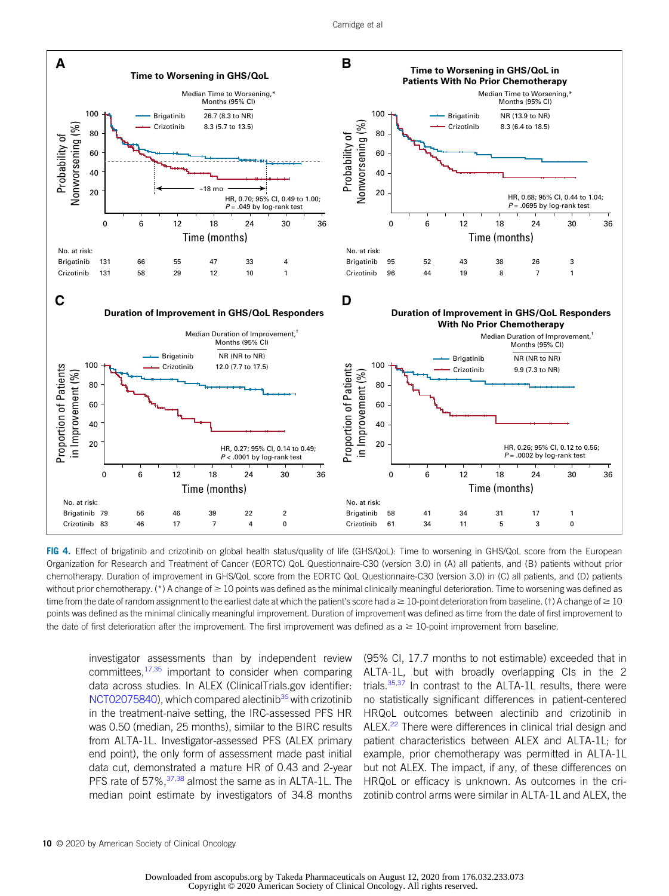

<span id="page-9-0"></span>FIG 4. Effect of brigatinib and crizotinib on global health status/quality of life (GHS/QoL): Time to worsening in GHS/QoL score from the European Organization for Research and Treatment of Cancer (EORTC) QoL Questionnaire-C30 (version 3.0) in (A) all patients, and (B) patients without prior chemotherapy. Duration of improvement in GHS/QoL score from the EORTC QoL Questionnaire-C30 (version 3.0) in (C) all patients, and (D) patients without prior chemotherapy. (\*) A change of  $\geq 10$  points was defined as the minimal clinically meaningful deterioration. Time to worsening was defined as time from the date of random assignment to the earliest date at which the patient's score had  $a \ge 10$ -point deterioration from baseline. (†) A change of  $\ge 10$ points was defined as the minimal clinically meaningful improvement. Duration of improvement was defined as time from the date of first improvement to the date of first deterioration after the improvement. The first improvement was defined as  $a \geq 10$ -point improvement from baseline.

investigator assessments than by independent review committees,  $17,35$  $17,35$  $17,35$  important to consider when comparing data across studies. In ALEX (ClinicalTrials.gov identifier: [NCT02075840](https://clinicaltrials.gov/ct2/show/NCT02075840)), which compared alectinib<sup>[36](#page-11-27)</sup> with crizotinib in the treatment-naive setting, the IRC-assessed PFS HR was 0.50 (median, 25 months), similar to the BIRC results from ALTA-1L. Investigator-assessed PFS (ALEX primary end point), the only form of assessment made past initial data cut, demonstrated a mature HR of 0.43 and 2-year PFS rate of 57%,<sup>[37,](#page-11-28)[38](#page-11-29)</sup> almost the same as in ALTA-1L. The median point estimate by investigators of 34.8 months

(95% CI, 17.7 months to not estimable) exceeded that in ALTA-1L, but with broadly overlapping CIs in the 2 trials. $35,37$  $35,37$  In contrast to the ALTA-1L results, there were no statistically significant differences in patient-centered HRQoL outcomes between alectinib and crizotinib in ALEX.<sup>22</sup> There were differences in clinical trial design and patient characteristics between ALEX and ALTA-1L; for example, prior chemotherapy was permitted in ALTA-1L but not ALEX. The impact, if any, of these differences on HRQoL or efficacy is unknown. As outcomes in the crizotinib control arms were similar in ALTA-1L and ALEX, the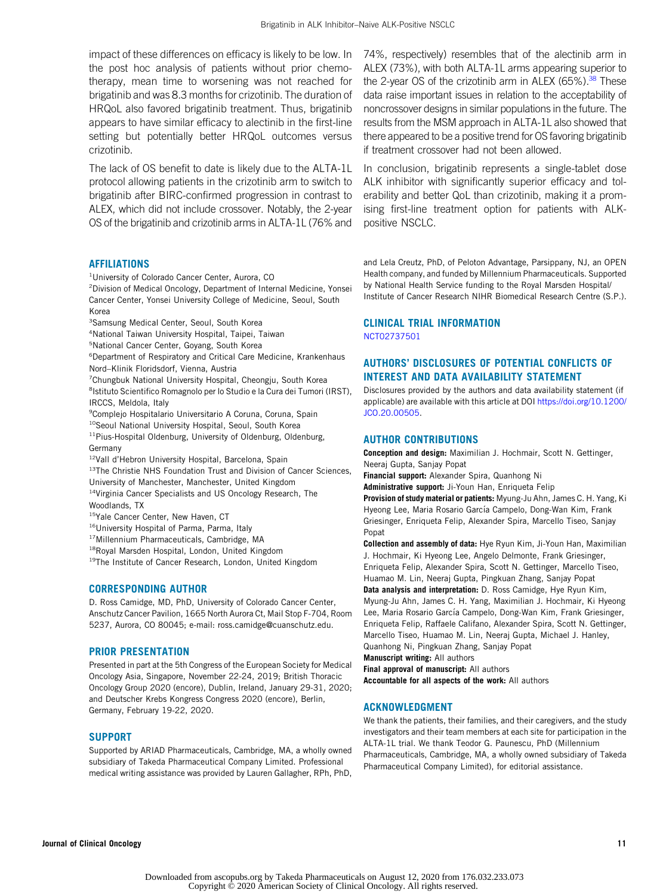impact of these differences on efficacy is likely to be low. In the post hoc analysis of patients without prior chemotherapy, mean time to worsening was not reached for brigatinib and was 8.3 months for crizotinib. The duration of HRQoL also favored brigatinib treatment. Thus, brigatinib appears to have similar efficacy to alectinib in the first-line setting but potentially better HRQoL outcomes versus crizotinib.

The lack of OS benefit to date is likely due to the ALTA-1L protocol allowing patients in the crizotinib arm to switch to brigatinib after BIRC-confirmed progression in contrast to ALEX, which did not include crossover. Notably, the 2-year OS of the brigatinib and crizotinib arms in ALTA-1L (76% and

# **AFFILIATIONS**

- 1 University of Colorado Cancer Center, Aurora, CO
- 2 Division of Medical Oncology, Department of Internal Medicine, Yonsei Cancer Center, Yonsei University College of Medicine, Seoul, South Korea
- <sup>3</sup>Samsung Medical Center, Seoul, South Korea
- 4 National Taiwan University Hospital, Taipei, Taiwan
- 5 National Cancer Center, Goyang, South Korea
- 6 Department of Respiratory and Critical Care Medicine, Krankenhaus Nord–Klinik Floridsdorf, Vienna, Austria
- 7 Chungbuk National University Hospital, Cheongju, South Korea <sup>8</sup>Istituto Scientifico Romagnolo per lo Studio e la Cura dei Tumori (IRST), IRCCS, Meldola, Italy
- <sup>9</sup> Complejo Hospitalario Universitario A Coruna, Coruna, Spain <sup>10</sup>Seoul National University Hospital, Seoul, South Korea
- <sup>11</sup>Pius-Hospital Oldenburg, University of Oldenburg, Oldenburg, Germany
- 12Vall d'Hebron University Hospital, Barcelona, Spain

<sup>13</sup>The Christie NHS Foundation Trust and Division of Cancer Sciences, University of Manchester, Manchester, United Kingdom

<sup>14</sup>Virginia Cancer Specialists and US Oncology Research, The Woodlands, TX

- <sup>15</sup>Yale Cancer Center, New Haven, CT
- 16University Hospital of Parma, Parma, Italy
- 17Millennium Pharmaceuticals, Cambridge, MA
- <sup>18</sup>Royal Marsden Hospital, London, United Kingdom
- <sup>19</sup>The Institute of Cancer Research, London, United Kingdom

# CORRESPONDING AUTHOR

D. Ross Camidge, MD, PhD, University of Colorado Cancer Center, Anschutz Cancer Pavilion, 1665 North Aurora Ct, Mail Stop F-704, Room 5237, Aurora, CO 80045; e-mail: [ross.camidge@cuanschutz.edu.](mailto:ross.camidge@cuanschutz.edu)

### PRIOR PRESENTATION

Presented in part at the 5th Congress of the European Society for Medical Oncology Asia, Singapore, November 22-24, 2019; British Thoracic Oncology Group 2020 (encore), Dublin, Ireland, January 29-31, 2020; and Deutscher Krebs Kongress Congress 2020 (encore), Berlin, Germany, February 19-22, 2020.

### **SUPPORT**

Supported by ARIAD Pharmaceuticals, Cambridge, MA, a wholly owned subsidiary of Takeda Pharmaceutical Company Limited. Professional medical writing assistance was provided by Lauren Gallagher, RPh, PhD,

74%, respectively) resembles that of the alectinib arm in ALEX (73%), with both ALTA-1L arms appearing superior to the 2-year OS of the crizotinib arm in ALEX (65%).<sup>38</sup> These data raise important issues in relation to the acceptability of noncrossover designs in similar populations in the future. The results from the MSM approach in ALTA-1L also showed that there appeared to be a positive trend for OS favoring brigatinib if treatment crossover had not been allowed.

In conclusion, brigatinib represents a single-tablet dose ALK inhibitor with significantly superior efficacy and tolerability and better QoL than crizotinib, making it a promising first-line treatment option for patients with ALKpositive NSCLC.

and Lela Creutz, PhD, of Peloton Advantage, Parsippany, NJ, an OPEN Health company, and funded by Millennium Pharmaceuticals. Supported by National Health Service funding to the Royal Marsden Hospital/ Institute of Cancer Research NIHR Biomedical Research Centre (S.P.).

# CLINICAL TRIAL INFORMATION

[NCT02737501](http://www.clinicaltrials.gov/ct2/show/NCT02737501)

# AUTHORS' DISCLOSURES OF POTENTIAL CONFLICTS OF INTEREST AND DATA AVAILABILITY STATEMENT

Disclosures provided by the authors and data availability statement (if applicable) are available with this article at DOI [https://doi.org/10.1200/](http://ascopubs.org/doi/full/10.1200/JCO.20.00505) [JCO.20.00505.](http://ascopubs.org/doi/full/10.1200/JCO.20.00505)

# AUTHOR CONTRIBUTIONS

Conception and design: Maximilian J. Hochmair, Scott N. Gettinger, Neeraj Gupta, Sanjay Popat

Financial support: Alexander Spira, Quanhong Ni

Administrative support: Ji-Youn Han, Enriqueta Felip

Provision of study material or patients: Myung-Ju Ahn, James C. H. Yang, Ki Hyeong Lee, Maria Rosario García Campelo, Dong-Wan Kim, Frank Griesinger, Enriqueta Felip, Alexander Spira, Marcello Tiseo, Sanjay Popat

Collection and assembly of data: Hye Ryun Kim, Ji-Youn Han, Maximilian J. Hochmair, Ki Hyeong Lee, Angelo Delmonte, Frank Griesinger, Enriqueta Felip, Alexander Spira, Scott N. Gettinger, Marcello Tiseo, Huamao M. Lin, Neeraj Gupta, Pingkuan Zhang, Sanjay Popat

Data analysis and interpretation: D. Ross Camidge, Hye Ryun Kim, Myung-Ju Ahn, James C. H. Yang, Maximilian J. Hochmair, Ki Hyeong Lee, Maria Rosario García Campelo, Dong-Wan Kim, Frank Griesinger, Enriqueta Felip, Raffaele Califano, Alexander Spira, Scott N. Gettinger, Marcello Tiseo, Huamao M. Lin, Neeraj Gupta, Michael J. Hanley, Quanhong Ni, Pingkuan Zhang, Sanjay Popat

Manuscript writing: All authors

Final approval of manuscript: All authors Accountable for all aspects of the work: All authors

### ACKNOWLEDGMENT

We thank the patients, their families, and their caregivers, and the study investigators and their team members at each site for participation in the ALTA-1L trial. We thank Teodor G. Paunescu, PhD (Millennium Pharmaceuticals, Cambridge, MA, a wholly owned subsidiary of Takeda Pharmaceutical Company Limited), for editorial assistance.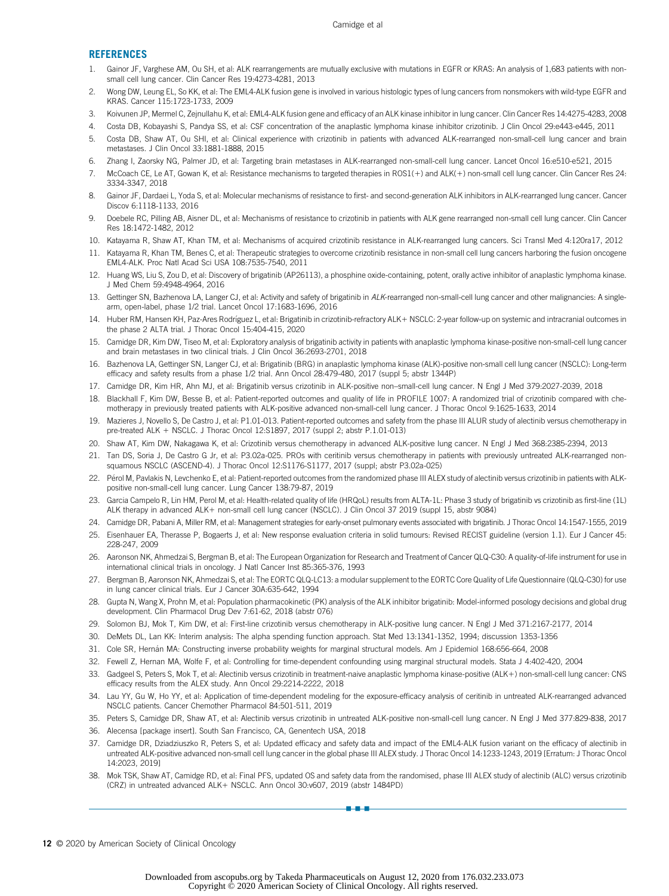#### REFERENCES

- <span id="page-11-0"></span>1. Gainor JF, Varghese AM, Ou SH, et al: ALK rearrangements are mutually exclusive with mutations in EGFR or KRAS: An analysis of 1,683 patients with nonsmall cell lung cancer. Clin Cancer Res 19:4273-4281, 2013
- 2. Wong DW, Leung EL, So KK, et al: The EML4-ALK fusion gene is involved in various histologic types of lung cancers from nonsmokers with wild-type EGFR and KRAS. Cancer 115:1723-1733, 2009
- <span id="page-11-1"></span>3. Koivunen JP, Mermel C, Zejnullahu K, et al: EML4-ALK fusion gene and efficacy of an ALK kinase inhibitor in lung cancer. Clin Cancer Res 14:4275-4283, 2008
- <span id="page-11-2"></span>4. Costa DB, Kobayashi S, Pandya SS, et al: CSF concentration of the anaplastic lymphoma kinase inhibitor crizotinib. J Clin Oncol 29:e443-e445, 2011
- 5. Costa DB, Shaw AT, Ou SHI, et al: Clinical experience with crizotinib in patients with advanced ALK-rearranged non-small-cell lung cancer and brain metastases. J Clin Oncol 33:1881-1888, 2015
- <span id="page-11-3"></span>6. Zhang I, Zaorsky NG, Palmer JD, et al: Targeting brain metastases in ALK-rearranged non-small-cell lung cancer. Lancet Oncol 16:e510-e521, 2015
- <span id="page-11-4"></span>7. McCoach CE, Le AT, Gowan K, et al: Resistance mechanisms to targeted therapies in ROS1(+) and ALK(+) non-small cell lung cancer. Clin Cancer Res 24: 3334-3347, 2018
- 8. Gainor JF, Dardaei L, Yoda S, et al: Molecular mechanisms of resistance to first- and second-generation ALK inhibitors in ALK-rearranged lung cancer. Cancer Discov 6:1118-1133, 2016
- 9. Doebele RC, Pilling AB, Aisner DL, et al: Mechanisms of resistance to crizotinib in patients with ALK gene rearranged non-small cell lung cancer. Clin Cancer Res 18:1472-1482, 2012
- <span id="page-11-5"></span>10. Katayama R, Shaw AT, Khan TM, et al: Mechanisms of acquired crizotinib resistance in ALK-rearranged lung cancers. Sci Transl Med 4:120ra17, 2012
- <span id="page-11-6"></span>11. Katayama R, Khan TM, Benes C, et al: Therapeutic strategies to overcome crizotinib resistance in non-small cell lung cancers harboring the fusion oncogene EML4-ALK. Proc Natl Acad Sci USA 108:7535-7540, 2011
- 12. Huang WS, Liu S, Zou D, et al: Discovery of brigatinib (AP26113), a phosphine oxide-containing, potent, orally active inhibitor of anaplastic lymphoma kinase. J Med Chem 59:4948-4964, 2016
- <span id="page-11-7"></span>13. Gettinger SN, Bazhenova LA, Langer CJ, et al: Activity and safety of brigatinib in ALK-rearranged non-small-cell lung cancer and other malignancies: A singlearm, open-label, phase 1/2 trial. Lancet Oncol 17:1683-1696, 2016
- <span id="page-11-8"></span>14. Huber RM, Hansen KH, Paz-Ares Rodríguez L, et al: Brigatinib in crizotinib-refractory ALK+ NSCLC: 2-year follow-up on systemic and intracranial outcomes in the phase 2 ALTA trial. J Thorac Oncol 15:404-415, 2020
- 15. Camidge DR, Kim DW, Tiseo M, et al: Exploratory analysis of brigatinib activity in patients with anaplastic lymphoma kinase-positive non-small-cell lung cancer and brain metastases in two clinical trials. J Clin Oncol 36:2693-2701, 2018
- <span id="page-11-9"></span>16. Bazhenova LA, Gettinger SN, Langer CJ, et al: Brigatinib (BRG) in anaplastic lymphoma kinase (ALK)-positive non-small cell lung cancer (NSCLC): Long-term efficacy and safety results from a phase 1/2 trial. Ann Oncol 28:479-480, 2017 (suppl 5; abstr 1344P)
- <span id="page-11-10"></span>17. Camidge DR, Kim HR, Ahn MJ, et al: Brigatinib versus crizotinib in ALK-positive non–small-cell lung cancer. N Engl J Med 379:2027-2039, 2018
- <span id="page-11-11"></span>18. Blackhall F, Kim DW, Besse B, et al: Patient-reported outcomes and quality of life in PROFILE 1007: A randomized trial of crizotinib compared with chemotherapy in previously treated patients with ALK-positive advanced non-small-cell lung cancer. J Thorac Oncol 9:1625-1633, 2014
- 19. Mazieres J, Novello S, De Castro J, et al: P1.01-013. Patient-reported outcomes and safety from the phase III ALUR study of alectinib versus chemotherapy in pre-treated ALK + NSCLC. J Thorac Oncol 12:S1897, 2017 (suppl 2; abstr P.1.01-013)
- 20. Shaw AT, Kim DW, Nakagawa K, et al: Crizotinib versus chemotherapy in advanced ALK-positive lung cancer. N Engl J Med 368:2385-2394, 2013
- <span id="page-11-12"></span>21. Tan DS, Soria J, De Castro G Jr, et al: P3.02a-025. PROs with ceritinib versus chemotherapy in patients with previously untreated ALK-rearranged nonsquamous NSCLC (ASCEND-4). J Thorac Oncol 12:S1176-S1177, 2017 (suppl; abstr P3.02a-025)
- <span id="page-11-13"></span>22. Pérol M, Pavlakis N, Levchenko E, et al: Patient-reported outcomes from the randomized phase III ALEX study of alectinib versus crizotinib in patients with ALKpositive non-small-cell lung cancer. Lung Cancer 138:79-87, 2019
- <span id="page-11-14"></span>23. Garcia Campelo R, Lin HM, Perol M, et al: Health-related quality of life (HRQoL) results from ALTA-1L: Phase 3 study of brigatinib vs crizotinib as first-line (1L) ALK therapy in advanced ALK+ non-small cell lung cancer (NSCLC). J Clin Oncol 37 2019 (suppl 15, abstr 9084)
- <span id="page-11-15"></span>24. Camidge DR, Pabani A, Miller RM, et al: Management strategies for early-onset pulmonary events associated with brigatinib. J Thorac Oncol 14:1547-1555, 2019
- <span id="page-11-16"></span>25. Eisenhauer EA, Therasse P, Bogaerts J, et al: New response evaluation criteria in solid tumours: Revised RECIST guideline (version 1.1). Eur J Cancer 45: 228-247, 2009
- <span id="page-11-17"></span>26. Aaronson NK, Ahmedzai S, Bergman B, et al: The European Organization for Research and Treatment of Cancer QLQ-C30: A quality-of-life instrument for use in international clinical trials in oncology. J Natl Cancer Inst 85:365-376, 1993
- <span id="page-11-18"></span>27. Bergman B, Aaronson NK, Ahmedzai S, et al: The EORTC QLQ-LC13: a modular supplement to the EORTC Core Quality of Life Questionnaire (QLQ-C30) for use in lung cancer clinical trials. Eur J Cancer 30A:635-642, 1994
- <span id="page-11-19"></span>28. Gupta N, Wang X, Prohn M, et al: Population pharmacokinetic (PK) analysis of the ALK inhibitor brigatinib: Model-informed posology decisions and global drug development. Clin Pharmacol Drug Dev 7:61-62, 2018 (abstr 076)
- <span id="page-11-20"></span>29. Solomon BJ, Mok T, Kim DW, et al: First-line crizotinib versus chemotherapy in ALK-positive lung cancer. N Engl J Med 371:2167-2177, 2014
- <span id="page-11-21"></span>30. DeMets DL, Lan KK: Interim analysis: The alpha spending function approach. Stat Med 13:1341-1352, 1994; discussion 1353-1356
- <span id="page-11-22"></span>31. Cole SR, Hernan MA: Constructing inverse probability weights for marginal structural models. Am J Epidemiol 168:656-664, 2008 ´
- <span id="page-11-23"></span>32. Fewell Z, Hernan MA, Wolfe F, et al: Controlling for time-dependent confounding using marginal structural models. Stata J 4:402-420, 2004
- <span id="page-11-24"></span>33. Gadgeel S, Peters S, Mok T, et al: Alectinib versus crizotinib in treatment-naive anaplastic lymphoma kinase-positive (ALK+) non-small-cell lung cancer: CNS efficacy results from the ALEX study. Ann Oncol 29:2214-2222, 2018
- <span id="page-11-25"></span>34. Lau YY, Gu W, Ho YY, et al: Application of time-dependent modeling for the exposure-efficacy analysis of ceritinib in untreated ALK-rearranged advanced NSCLC patients. Cancer Chemother Pharmacol 84:501-511, 2019
- <span id="page-11-26"></span>35. Peters S, Camidge DR, Shaw AT, et al: Alectinib versus crizotinib in untreated ALK-positive non-small-cell lung cancer. N Engl J Med 377:829-838, 2017
- <span id="page-11-27"></span>36. Alecensa [package insert]. South San Francisco, CA, Genentech USA, 2018
- <span id="page-11-28"></span>37. Camidge DR, Dziadziuszko R, Peters S, et al: Updated efficacy and safety data and impact of the EML4-ALK fusion variant on the efficacy of alectinib in untreated ALK-positive advanced non-small cell lung cancer in the global phase III ALEX study. J Thorac Oncol 14:1233-1243, 2019 [Erratum: J Thorac Oncol 14:2023, 2019]
- <span id="page-11-29"></span>38. Mok TSK, Shaw AT, Camidge RD, et al: Final PFS, updated OS and safety data from the randomised, phase III ALEX study of alectinib (ALC) versus crizotinib (CRZ) in untreated advanced ALK+ NSCLC. Ann Oncol 30:v607, 2019 (abstr 1484PD)

n-a-a